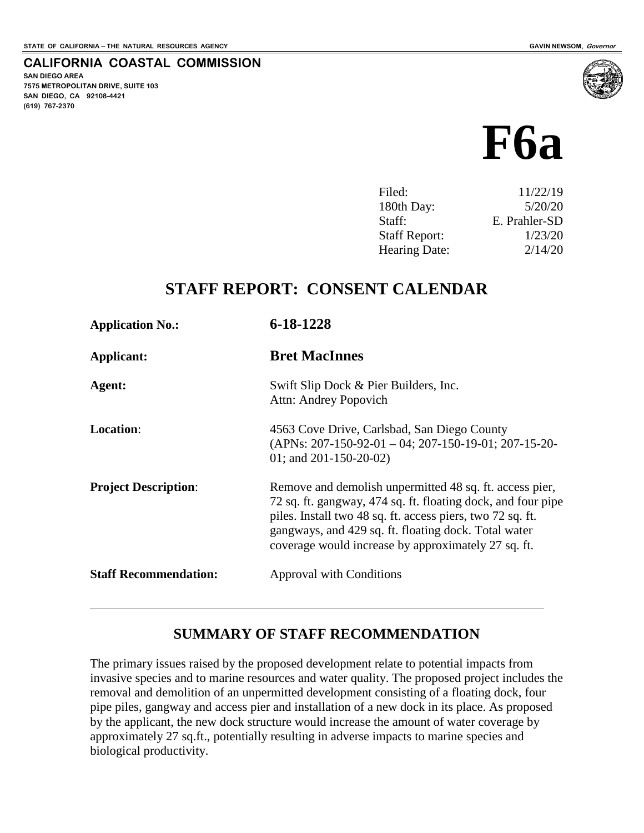**SAN DIEGO AREA**

**(619) 767-2370**

**7575 METROPOLITAN DRIVE, SUITE 103 SAN DIEGO, CA 92108-4421**

 $\overline{a}$ 

**CALIFORNIA COASTAL COMMISSION**

# **F6a**

| Filed:               | 11/22/19      |
|----------------------|---------------|
| 180th Day:           | 5/20/20       |
| Staff:               | E. Prahler-SD |
| <b>Staff Report:</b> | 1/23/20       |
| Hearing Date:        | 2/14/20       |
|                      |               |

# **STAFF REPORT: CONSENT CALENDAR**

| <b>Application No.:</b>      | 6-18-1228                                                                                                                                                                                                                                                                                            |
|------------------------------|------------------------------------------------------------------------------------------------------------------------------------------------------------------------------------------------------------------------------------------------------------------------------------------------------|
| Applicant:                   | <b>Bret MacInnes</b>                                                                                                                                                                                                                                                                                 |
| Agent:                       | Swift Slip Dock & Pier Builders, Inc.<br>Attn: Andrey Popovich                                                                                                                                                                                                                                       |
| <b>Location:</b>             | 4563 Cove Drive, Carlsbad, San Diego County<br>$(APNs: 207-150-92-01-04; 207-150-19-01; 207-15-20-$<br>01; and $201 - 150 - 20 - 02$ )                                                                                                                                                               |
| <b>Project Description:</b>  | Remove and demolish unpermitted 48 sq. ft. access pier,<br>72 sq. ft. gangway, 474 sq. ft. floating dock, and four pipe<br>piles. Install two 48 sq. ft. access piers, two 72 sq. ft.<br>gangways, and 429 sq. ft. floating dock. Total water<br>coverage would increase by approximately 27 sq. ft. |
| <b>Staff Recommendation:</b> | <b>Approval with Conditions</b>                                                                                                                                                                                                                                                                      |

# **SUMMARY OF STAFF RECOMMENDATION**

The primary issues raised by the proposed development relate to potential impacts from invasive species and to marine resources and water quality. The proposed project includes the removal and demolition of an unpermitted development consisting of a floating dock, four pipe piles, gangway and access pier and installation of a new dock in its place. As proposed by the applicant, the new dock structure would increase the amount of water coverage by approximately 27 sq.ft., potentially resulting in adverse impacts to marine species and biological productivity.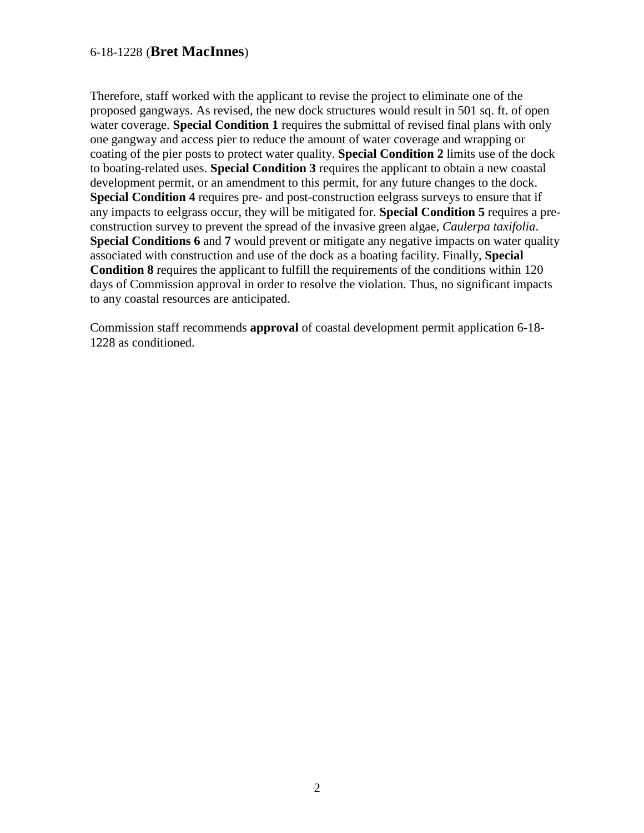Therefore, staff worked with the applicant to revise the project to eliminate one of the proposed gangways. As revised, the new dock structures would result in 501 sq. ft. of open water coverage. **Special Condition 1** requires the submittal of revised final plans with only one gangway and access pier to reduce the amount of water coverage and wrapping or coating of the pier posts to protect water quality. **Special Condition 2** limits use of the dock to boating-related uses. **Special Condition 3** requires the applicant to obtain a new coastal development permit, or an amendment to this permit, for any future changes to the dock. **Special Condition 4** requires pre- and post-construction eelgrass surveys to ensure that if any impacts to eelgrass occur, they will be mitigated for. **Special Condition 5** requires a preconstruction survey to prevent the spread of the invasive green algae, *Caulerpa taxifolia*. **Special Conditions 6** and 7 would prevent or mitigate any negative impacts on water quality associated with construction and use of the dock as a boating facility. Finally, **Special Condition 8** requires the applicant to fulfill the requirements of the conditions within 120 days of Commission approval in order to resolve the violation. Thus, no significant impacts to any coastal resources are anticipated.

Commission staff recommends **approval** of coastal development permit application 6-18- 1228 as conditioned.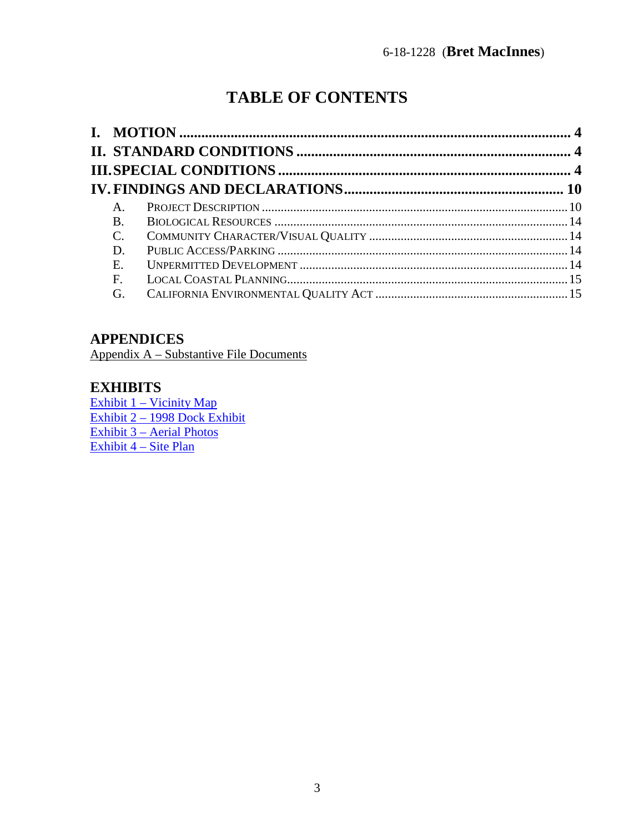# **TABLE OF CONTENTS**

| A.              |  |
|-----------------|--|
| <b>B.</b>       |  |
| $\mathcal{C}$ . |  |
| D.              |  |
| Ε.              |  |
| $\mathbf{F}$    |  |
| G.              |  |
|                 |  |

# **APPENDICES**

Appendix A – Substantive File Documents

### **EXHIBITS**

[Exhibit 1 – Vicinity Map](https://documents.coastal.ca.gov/reports/2020/2/f6a/f6a-2-2020-exhibits.pdf) [Exhibit 2 – 1998 Dock Exhibit](https://documents.coastal.ca.gov/reports/2020/2/f6a/f6a-2-2020-exhibits.pdf)  [Exhibit 3 – Aerial Photos](https://documents.coastal.ca.gov/reports/2020/2/f6a/f6a-2-2020-exhibits.pdf)  [Exhibit 4 – Site Plan](https://documents.coastal.ca.gov/reports/2020/2/f6a/f6a-2-2020-exhibits.pdf)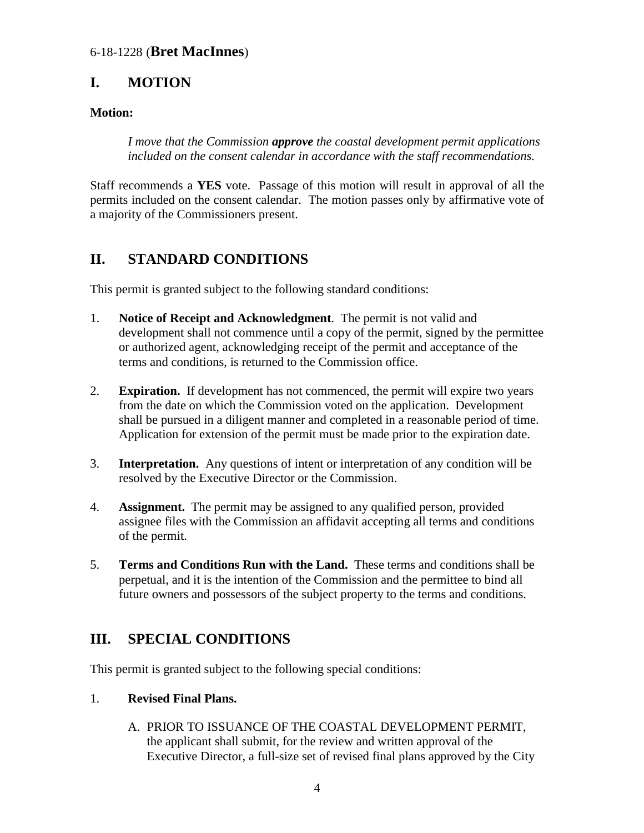# <span id="page-3-0"></span>**I. MOTION**

#### **Motion:**

*I move that the Commission approve the coastal development permit applications included on the consent calendar in accordance with the staff recommendations.* 

Staff recommends a **YES** vote. Passage of this motion will result in approval of all the permits included on the consent calendar. The motion passes only by affirmative vote of a majority of the Commissioners present.

# <span id="page-3-1"></span>**II. STANDARD CONDITIONS**

This permit is granted subject to the following standard conditions:

- 1. **Notice of Receipt and Acknowledgment**. The permit is not valid and development shall not commence until a copy of the permit, signed by the permittee or authorized agent, acknowledging receipt of the permit and acceptance of the terms and conditions, is returned to the Commission office.
- 2. **Expiration.** If development has not commenced, the permit will expire two years from the date on which the Commission voted on the application. Development shall be pursued in a diligent manner and completed in a reasonable period of time. Application for extension of the permit must be made prior to the expiration date.
- 3. **Interpretation.** Any questions of intent or interpretation of any condition will be resolved by the Executive Director or the Commission.
- 4. **Assignment.** The permit may be assigned to any qualified person, provided assignee files with the Commission an affidavit accepting all terms and conditions of the permit.
- 5. **Terms and Conditions Run with the Land.** These terms and conditions shall be perpetual, and it is the intention of the Commission and the permittee to bind all future owners and possessors of the subject property to the terms and conditions.

# <span id="page-3-2"></span>**III. SPECIAL CONDITIONS**

This permit is granted subject to the following special conditions:

#### 1. **Revised Final Plans.**

A. PRIOR TO ISSUANCE OF THE COASTAL DEVELOPMENT PERMIT, the applicant shall submit, for the review and written approval of the Executive Director, a full-size set of revised final plans approved by the City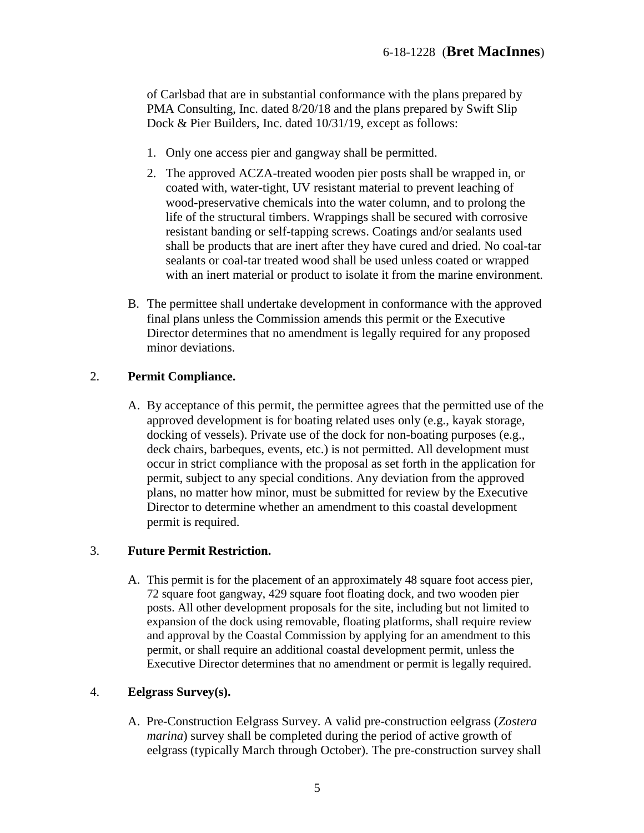of Carlsbad that are in substantial conformance with the plans prepared by PMA Consulting, Inc. dated  $8/20/18$  and the plans prepared by Swift Slip Dock & Pier Builders, Inc. dated 10/31/19, except as follows:

- 1. Only one access pier and gangway shall be permitted.
- 2. The approved ACZA-treated wooden pier posts shall be wrapped in, or coated with, water-tight, UV resistant material to prevent leaching of wood-preservative chemicals into the water column, and to prolong the life of the structural timbers. Wrappings shall be secured with corrosive resistant banding or self-tapping screws. Coatings and/or sealants used shall be products that are inert after they have cured and dried. No coal-tar sealants or coal-tar treated wood shall be used unless coated or wrapped with an inert material or product to isolate it from the marine environment.
- B. The permittee shall undertake development in conformance with the approved final plans unless the Commission amends this permit or the Executive Director determines that no amendment is legally required for any proposed minor deviations.

#### 2. **Permit Compliance.**

A. By acceptance of this permit, the permittee agrees that the permitted use of the approved development is for boating related uses only (e.g., kayak storage, docking of vessels). Private use of the dock for non-boating purposes (e.g., deck chairs, barbeques, events, etc.) is not permitted. All development must occur in strict compliance with the proposal as set forth in the application for permit, subject to any special conditions. Any deviation from the approved plans, no matter how minor, must be submitted for review by the Executive Director to determine whether an amendment to this coastal development permit is required.

#### 3. **Future Permit Restriction.**

A. This permit is for the placement of an approximately 48 square foot access pier, 72 square foot gangway, 429 square foot floating dock, and two wooden pier posts. All other development proposals for the site, including but not limited to expansion of the dock using removable, floating platforms, shall require review and approval by the Coastal Commission by applying for an amendment to this permit, or shall require an additional coastal development permit, unless the Executive Director determines that no amendment or permit is legally required.

#### 4. **Eelgrass Survey(s).**

A. Pre-Construction Eelgrass Survey. A valid pre-construction eelgrass (*Zostera marina*) survey shall be completed during the period of active growth of eelgrass (typically March through October). The pre-construction survey shall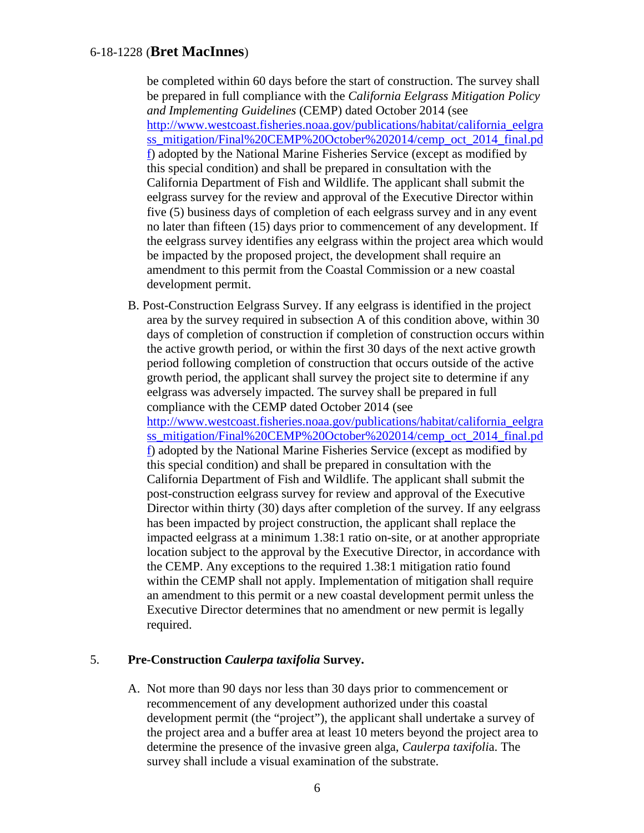be completed within 60 days before the start of construction. The survey shall be prepared in full compliance with the *California Eelgrass Mitigation Policy and Implementing Guidelines* (CEMP) dated October 2014 (see [http://www.westcoast.fisheries.noaa.gov/publications/habitat/california\\_eelgra](http://www.westcoast.fisheries.noaa.gov/publications/habitat/california_eelgrass_mitigation/Final%20CEMP%20October%202014/cemp_oct_2014_final.pdf) [ss\\_mitigation/Final%20CEMP%20October%202014/cemp\\_oct\\_2014\\_final.pd](http://www.westcoast.fisheries.noaa.gov/publications/habitat/california_eelgrass_mitigation/Final%20CEMP%20October%202014/cemp_oct_2014_final.pdf) [f\)](http://www.westcoast.fisheries.noaa.gov/publications/habitat/california_eelgrass_mitigation/Final%20CEMP%20October%202014/cemp_oct_2014_final.pdf) adopted by the National Marine Fisheries Service (except as modified by this special condition) and shall be prepared in consultation with the California Department of Fish and Wildlife. The applicant shall submit the eelgrass survey for the review and approval of the Executive Director within five (5) business days of completion of each eelgrass survey and in any event no later than fifteen (15) days prior to commencement of any development. If the eelgrass survey identifies any eelgrass within the project area which would be impacted by the proposed project, the development shall require an amendment to this permit from the Coastal Commission or a new coastal development permit.

B. Post-Construction Eelgrass Survey. If any eelgrass is identified in the project area by the survey required in subsection A of this condition above, within 30 days of completion of construction if completion of construction occurs within the active growth period, or within the first 30 days of the next active growth period following completion of construction that occurs outside of the active growth period, the applicant shall survey the project site to determine if any eelgrass was adversely impacted. The survey shall be prepared in full compliance with the CEMP dated October 2014 (see [http://www.westcoast.fisheries.noaa.gov/publications/habitat/california\\_eelgra](http://www.westcoast.fisheries.noaa.gov/publications/habitat/california_eelgrass_mitigation/Final%20CEMP%20October%202014/cemp_oct_2014_final.pdf) [ss\\_mitigation/Final%20CEMP%20October%202014/cemp\\_oct\\_2014\\_final.pd](http://www.westcoast.fisheries.noaa.gov/publications/habitat/california_eelgrass_mitigation/Final%20CEMP%20October%202014/cemp_oct_2014_final.pdf) [f\)](http://www.westcoast.fisheries.noaa.gov/publications/habitat/california_eelgrass_mitigation/Final%20CEMP%20October%202014/cemp_oct_2014_final.pdf) adopted by the National Marine Fisheries Service (except as modified by this special condition) and shall be prepared in consultation with the California Department of Fish and Wildlife. The applicant shall submit the post-construction eelgrass survey for review and approval of the Executive Director within thirty (30) days after completion of the survey. If any eelgrass has been impacted by project construction, the applicant shall replace the impacted eelgrass at a minimum 1.38:1 ratio on-site, or at another appropriate location subject to the approval by the Executive Director, in accordance with the CEMP. Any exceptions to the required 1.38:1 mitigation ratio found within the CEMP shall not apply. Implementation of mitigation shall require an amendment to this permit or a new coastal development permit unless the Executive Director determines that no amendment or new permit is legally required.

#### 5. **Pre-Construction** *Caulerpa taxifolia* **Survey.**

A. Not more than 90 days nor less than 30 days prior to commencement or recommencement of any development authorized under this coastal development permit (the "project"), the applicant shall undertake a survey of the project area and a buffer area at least 10 meters beyond the project area to determine the presence of the invasive green alga, *Caulerpa taxifoli*a. The survey shall include a visual examination of the substrate.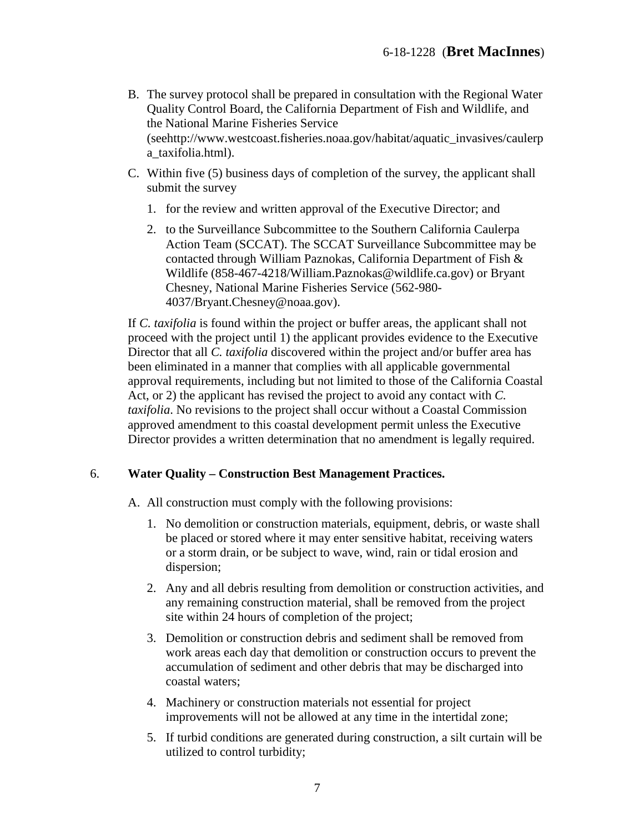- B. The survey protocol shall be prepared in consultation with the Regional Water Quality Control Board, the California Department of Fish and Wildlife, and the National Marine Fisheries Service (seehttp://www.westcoast.fisheries.noaa.gov/habitat/aquatic\_invasives/caulerp a\_taxifolia.html).
- C. Within five (5) business days of completion of the survey, the applicant shall submit the survey
	- 1. for the review and written approval of the Executive Director; and
	- 2. to the Surveillance Subcommittee to the Southern California Caulerpa Action Team (SCCAT). The SCCAT Surveillance Subcommittee may be contacted through William Paznokas, California Department of Fish & Wildlife (858-467-4218/William.Paznokas@wildlife.ca.gov) or Bryant Chesney, National Marine Fisheries Service (562-980- 4037/Bryant.Chesney@noaa.gov).

If *C. taxifolia* is found within the project or buffer areas, the applicant shall not proceed with the project until 1) the applicant provides evidence to the Executive Director that all *C. taxifolia* discovered within the project and/or buffer area has been eliminated in a manner that complies with all applicable governmental approval requirements, including but not limited to those of the California Coastal Act, or 2) the applicant has revised the project to avoid any contact with *C. taxifolia*. No revisions to the project shall occur without a Coastal Commission approved amendment to this coastal development permit unless the Executive Director provides a written determination that no amendment is legally required.

#### 6. **Water Quality – Construction Best Management Practices.**

A. All construction must comply with the following provisions:

- 1. No demolition or construction materials, equipment, debris, or waste shall be placed or stored where it may enter sensitive habitat, receiving waters or a storm drain, or be subject to wave, wind, rain or tidal erosion and dispersion;
- 2. Any and all debris resulting from demolition or construction activities, and any remaining construction material, shall be removed from the project site within 24 hours of completion of the project;
- 3. Demolition or construction debris and sediment shall be removed from work areas each day that demolition or construction occurs to prevent the accumulation of sediment and other debris that may be discharged into coastal waters;
- 4. Machinery or construction materials not essential for project improvements will not be allowed at any time in the intertidal zone;
- 5. If turbid conditions are generated during construction, a silt curtain will be utilized to control turbidity;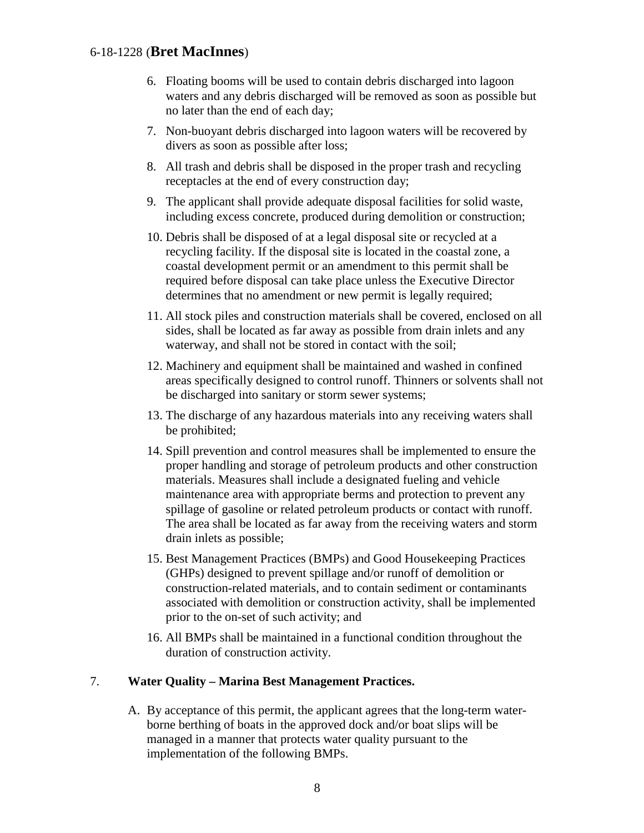- 6. Floating booms will be used to contain debris discharged into lagoon waters and any debris discharged will be removed as soon as possible but no later than the end of each day;
- 7. Non-buoyant debris discharged into lagoon waters will be recovered by divers as soon as possible after loss;
- 8. All trash and debris shall be disposed in the proper trash and recycling receptacles at the end of every construction day;
- 9. The applicant shall provide adequate disposal facilities for solid waste, including excess concrete, produced during demolition or construction;
- 10. Debris shall be disposed of at a legal disposal site or recycled at a recycling facility. If the disposal site is located in the coastal zone, a coastal development permit or an amendment to this permit shall be required before disposal can take place unless the Executive Director determines that no amendment or new permit is legally required;
- 11. All stock piles and construction materials shall be covered, enclosed on all sides, shall be located as far away as possible from drain inlets and any waterway, and shall not be stored in contact with the soil;
- 12. Machinery and equipment shall be maintained and washed in confined areas specifically designed to control runoff. Thinners or solvents shall not be discharged into sanitary or storm sewer systems;
- 13. The discharge of any hazardous materials into any receiving waters shall be prohibited;
- 14. Spill prevention and control measures shall be implemented to ensure the proper handling and storage of petroleum products and other construction materials. Measures shall include a designated fueling and vehicle maintenance area with appropriate berms and protection to prevent any spillage of gasoline or related petroleum products or contact with runoff. The area shall be located as far away from the receiving waters and storm drain inlets as possible;
- 15. Best Management Practices (BMPs) and Good Housekeeping Practices (GHPs) designed to prevent spillage and/or runoff of demolition or construction-related materials, and to contain sediment or contaminants associated with demolition or construction activity, shall be implemented prior to the on-set of such activity; and
- 16. All BMPs shall be maintained in a functional condition throughout the duration of construction activity.

#### 7. **Water Quality – Marina Best Management Practices.**

A. By acceptance of this permit, the applicant agrees that the long-term waterborne berthing of boats in the approved dock and/or boat slips will be managed in a manner that protects water quality pursuant to the implementation of the following BMPs.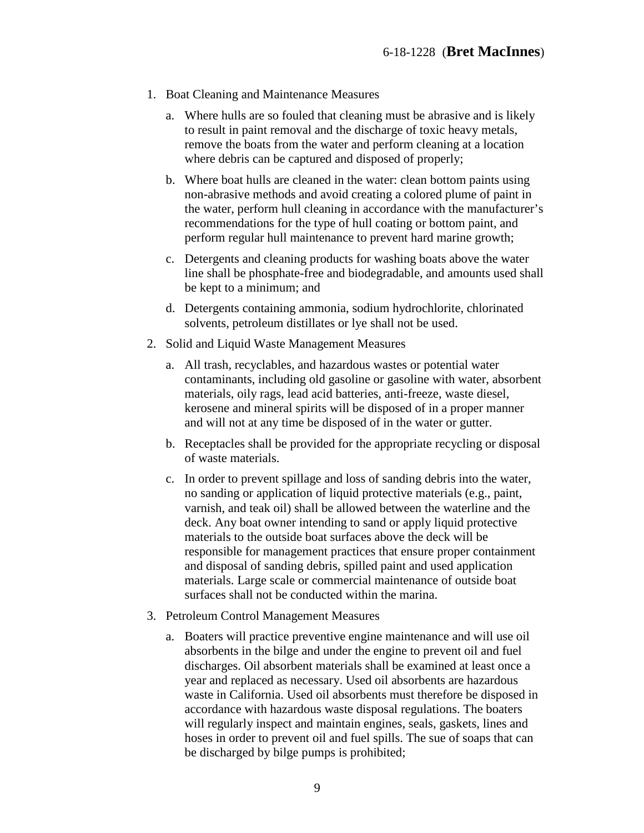- 1. Boat Cleaning and Maintenance Measures
	- a. Where hulls are so fouled that cleaning must be abrasive and is likely to result in paint removal and the discharge of toxic heavy metals, remove the boats from the water and perform cleaning at a location where debris can be captured and disposed of properly;
	- b. Where boat hulls are cleaned in the water: clean bottom paints using non-abrasive methods and avoid creating a colored plume of paint in the water, perform hull cleaning in accordance with the manufacturer's recommendations for the type of hull coating or bottom paint, and perform regular hull maintenance to prevent hard marine growth;
	- c. Detergents and cleaning products for washing boats above the water line shall be phosphate-free and biodegradable, and amounts used shall be kept to a minimum; and
	- d. Detergents containing ammonia, sodium hydrochlorite, chlorinated solvents, petroleum distillates or lye shall not be used.
- 2. Solid and Liquid Waste Management Measures
	- a. All trash, recyclables, and hazardous wastes or potential water contaminants, including old gasoline or gasoline with water, absorbent materials, oily rags, lead acid batteries, anti-freeze, waste diesel, kerosene and mineral spirits will be disposed of in a proper manner and will not at any time be disposed of in the water or gutter.
	- b. Receptacles shall be provided for the appropriate recycling or disposal of waste materials.
	- c. In order to prevent spillage and loss of sanding debris into the water, no sanding or application of liquid protective materials (e.g., paint, varnish, and teak oil) shall be allowed between the waterline and the deck. Any boat owner intending to sand or apply liquid protective materials to the outside boat surfaces above the deck will be responsible for management practices that ensure proper containment and disposal of sanding debris, spilled paint and used application materials. Large scale or commercial maintenance of outside boat surfaces shall not be conducted within the marina.
- 3. Petroleum Control Management Measures
	- a. Boaters will practice preventive engine maintenance and will use oil absorbents in the bilge and under the engine to prevent oil and fuel discharges. Oil absorbent materials shall be examined at least once a year and replaced as necessary. Used oil absorbents are hazardous waste in California. Used oil absorbents must therefore be disposed in accordance with hazardous waste disposal regulations. The boaters will regularly inspect and maintain engines, seals, gaskets, lines and hoses in order to prevent oil and fuel spills. The sue of soaps that can be discharged by bilge pumps is prohibited;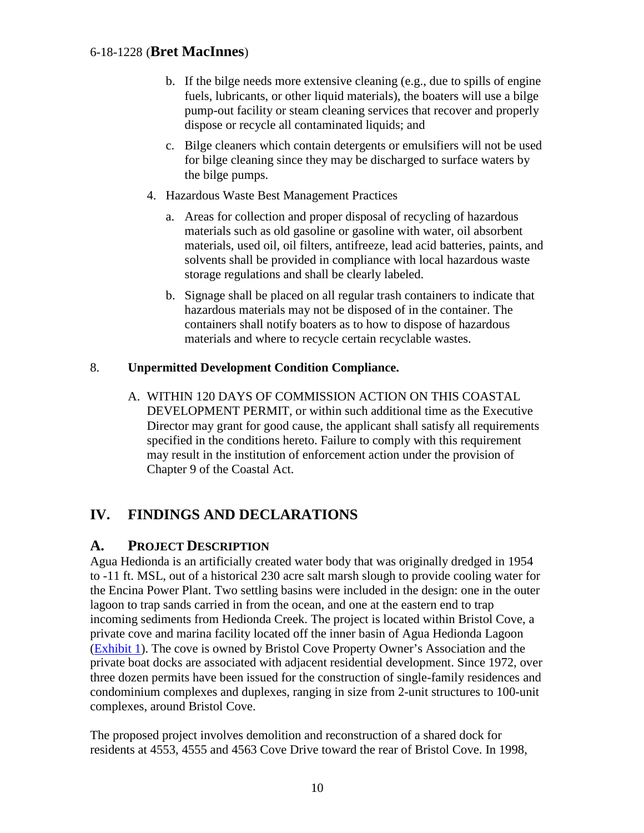- b. If the bilge needs more extensive cleaning (e.g., due to spills of engine fuels, lubricants, or other liquid materials), the boaters will use a bilge pump-out facility or steam cleaning services that recover and properly dispose or recycle all contaminated liquids; and
- c. Bilge cleaners which contain detergents or emulsifiers will not be used for bilge cleaning since they may be discharged to surface waters by the bilge pumps.
- 4. Hazardous Waste Best Management Practices
	- a. Areas for collection and proper disposal of recycling of hazardous materials such as old gasoline or gasoline with water, oil absorbent materials, used oil, oil filters, antifreeze, lead acid batteries, paints, and solvents shall be provided in compliance with local hazardous waste storage regulations and shall be clearly labeled.
	- b. Signage shall be placed on all regular trash containers to indicate that hazardous materials may not be disposed of in the container. The containers shall notify boaters as to how to dispose of hazardous materials and where to recycle certain recyclable wastes.

#### 8. **Unpermitted Development Condition Compliance.**

A. WITHIN 120 DAYS OF COMMISSION ACTION ON THIS COASTAL DEVELOPMENT PERMIT, or within such additional time as the Executive Director may grant for good cause, the applicant shall satisfy all requirements specified in the conditions hereto. Failure to comply with this requirement may result in the institution of enforcement action under the provision of Chapter 9 of the Coastal Act.

# <span id="page-9-0"></span>**IV. FINDINGS AND DECLARATIONS**

# <span id="page-9-1"></span>**A. PROJECT DESCRIPTION**

Agua Hedionda is an artificially created water body that was originally dredged in 1954 to -11 ft. MSL, out of a historical 230 acre salt marsh slough to provide cooling water for the Encina Power Plant. Two settling basins were included in the design: one in the outer lagoon to trap sands carried in from the ocean, and one at the eastern end to trap incoming sediments from Hedionda Creek. The project is located within Bristol Cove, a private cove and marina facility located off the inner basin of Agua Hedionda Lagoon [\(Exhibit 1\)](https://documents.coastal.ca.gov/reports/2020/2/f6a/f6a-2-2020-exhibits.pdf). The cove is owned by Bristol Cove Property Owner's Association and the private boat docks are associated with adjacent residential development. Since 1972, over three dozen permits have been issued for the construction of single-family residences and condominium complexes and duplexes, ranging in size from 2-unit structures to 100-unit complexes, around Bristol Cove.

The proposed project involves demolition and reconstruction of a shared dock for residents at 4553, 4555 and 4563 Cove Drive toward the rear of Bristol Cove. In 1998,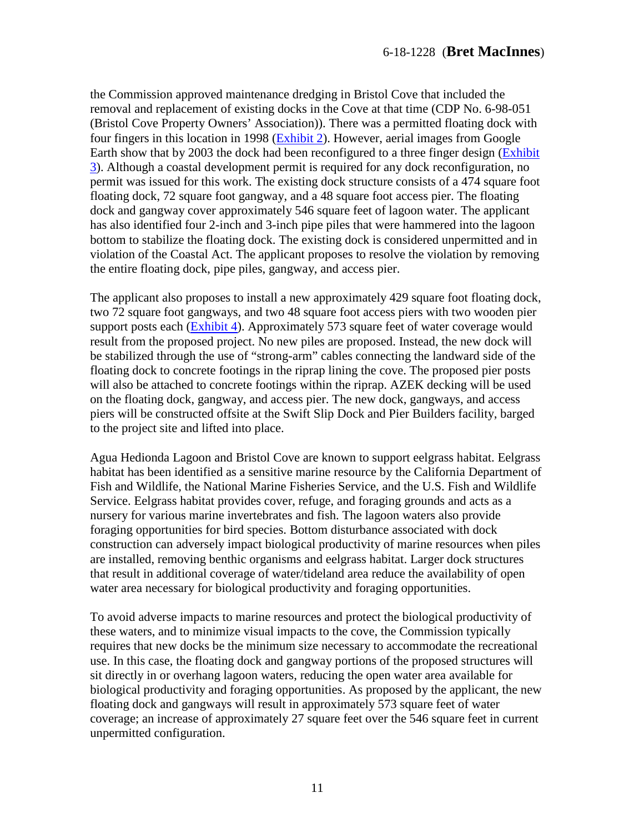the Commission approved maintenance dredging in Bristol Cove that included the removal and replacement of existing docks in the Cove at that time (CDP No. 6-98-051 (Bristol Cove Property Owners' Association)). There was a permitted floating dock with four fingers in this location in 1998 [\(Exhibit 2\)](https://documents.coastal.ca.gov/reports/2020/2/f6a/f6a-2-2020-exhibits.pdf). However, aerial images from Google Earth show that by 2003 the dock had been reconfigured to a three finger design [\(Exhibit](https://documents.coastal.ca.gov/reports/2020/2/f6a/f6a-2-2020-exhibits.pdf)  [3\)](https://documents.coastal.ca.gov/reports/2020/2/f6a/f6a-2-2020-exhibits.pdf). Although a coastal development permit is required for any dock reconfiguration, no permit was issued for this work. The existing dock structure consists of a 474 square foot floating dock, 72 square foot gangway, and a 48 square foot access pier. The floating dock and gangway cover approximately 546 square feet of lagoon water. The applicant has also identified four 2-inch and 3-inch pipe piles that were hammered into the lagoon bottom to stabilize the floating dock. The existing dock is considered unpermitted and in violation of the Coastal Act. The applicant proposes to resolve the violation by removing the entire floating dock, pipe piles, gangway, and access pier.

The applicant also proposes to install a new approximately 429 square foot floating dock, two 72 square foot gangways, and two 48 square foot access piers with two wooden pier support posts each [\(Exhibit 4\)](https://documents.coastal.ca.gov/reports/2020/2/f6a/f6a-2-2020-exhibits.pdf). Approximately 573 square feet of water coverage would result from the proposed project. No new piles are proposed. Instead, the new dock will be stabilized through the use of "strong-arm" cables connecting the landward side of the floating dock to concrete footings in the riprap lining the cove. The proposed pier posts will also be attached to concrete footings within the riprap. AZEK decking will be used on the floating dock, gangway, and access pier. The new dock, gangways, and access piers will be constructed offsite at the Swift Slip Dock and Pier Builders facility, barged to the project site and lifted into place.

Agua Hedionda Lagoon and Bristol Cove are known to support eelgrass habitat. Eelgrass habitat has been identified as a sensitive marine resource by the California Department of Fish and Wildlife, the National Marine Fisheries Service, and the U.S. Fish and Wildlife Service. Eelgrass habitat provides cover, refuge, and foraging grounds and acts as a nursery for various marine invertebrates and fish. The lagoon waters also provide foraging opportunities for bird species. Bottom disturbance associated with dock construction can adversely impact biological productivity of marine resources when piles are installed, removing benthic organisms and eelgrass habitat. Larger dock structures that result in additional coverage of water/tideland area reduce the availability of open water area necessary for biological productivity and foraging opportunities.

To avoid adverse impacts to marine resources and protect the biological productivity of these waters, and to minimize visual impacts to the cove, the Commission typically requires that new docks be the minimum size necessary to accommodate the recreational use. In this case, the floating dock and gangway portions of the proposed structures will sit directly in or overhang lagoon waters, reducing the open water area available for biological productivity and foraging opportunities. As proposed by the applicant, the new floating dock and gangways will result in approximately 573 square feet of water coverage; an increase of approximately 27 square feet over the 546 square feet in current unpermitted configuration.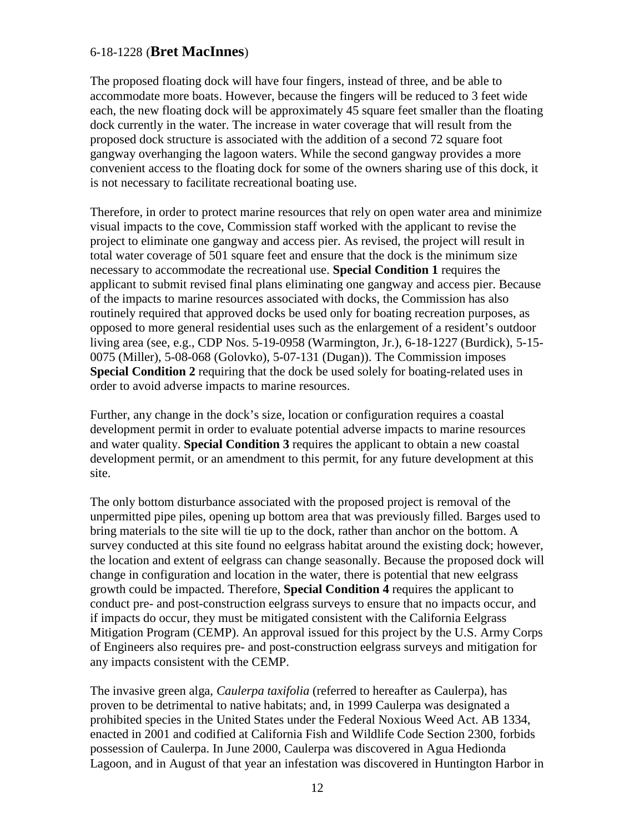The proposed floating dock will have four fingers, instead of three, and be able to accommodate more boats. However, because the fingers will be reduced to 3 feet wide each, the new floating dock will be approximately 45 square feet smaller than the floating dock currently in the water. The increase in water coverage that will result from the proposed dock structure is associated with the addition of a second 72 square foot gangway overhanging the lagoon waters. While the second gangway provides a more convenient access to the floating dock for some of the owners sharing use of this dock, it is not necessary to facilitate recreational boating use.

Therefore, in order to protect marine resources that rely on open water area and minimize visual impacts to the cove, Commission staff worked with the applicant to revise the project to eliminate one gangway and access pier. As revised, the project will result in total water coverage of 501 square feet and ensure that the dock is the minimum size necessary to accommodate the recreational use. **Special Condition 1** requires the applicant to submit revised final plans eliminating one gangway and access pier. Because of the impacts to marine resources associated with docks, the Commission has also routinely required that approved docks be used only for boating recreation purposes, as opposed to more general residential uses such as the enlargement of a resident's outdoor living area (see, e.g., CDP Nos. 5-19-0958 (Warmington, Jr.), 6-18-1227 (Burdick), 5-15- 0075 (Miller), 5-08-068 (Golovko), 5-07-131 (Dugan)). The Commission imposes **Special Condition 2** requiring that the dock be used solely for boating-related uses in order to avoid adverse impacts to marine resources.

Further, any change in the dock's size, location or configuration requires a coastal development permit in order to evaluate potential adverse impacts to marine resources and water quality. **Special Condition 3** requires the applicant to obtain a new coastal development permit, or an amendment to this permit, for any future development at this site.

The only bottom disturbance associated with the proposed project is removal of the unpermitted pipe piles, opening up bottom area that was previously filled. Barges used to bring materials to the site will tie up to the dock, rather than anchor on the bottom. A survey conducted at this site found no eelgrass habitat around the existing dock; however, the location and extent of eelgrass can change seasonally. Because the proposed dock will change in configuration and location in the water, there is potential that new eelgrass growth could be impacted. Therefore, **Special Condition 4** requires the applicant to conduct pre- and post-construction eelgrass surveys to ensure that no impacts occur, and if impacts do occur, they must be mitigated consistent with the California Eelgrass Mitigation Program (CEMP). An approval issued for this project by the U.S. Army Corps of Engineers also requires pre- and post-construction eelgrass surveys and mitigation for any impacts consistent with the CEMP.

The invasive green alga, *Caulerpa taxifolia* (referred to hereafter as Caulerpa), has proven to be detrimental to native habitats; and, in 1999 Caulerpa was designated a prohibited species in the United States under the Federal Noxious Weed Act. AB 1334, enacted in 2001 and codified at California Fish and Wildlife Code Section 2300, forbids possession of Caulerpa. In June 2000, Caulerpa was discovered in Agua Hedionda Lagoon, and in August of that year an infestation was discovered in Huntington Harbor in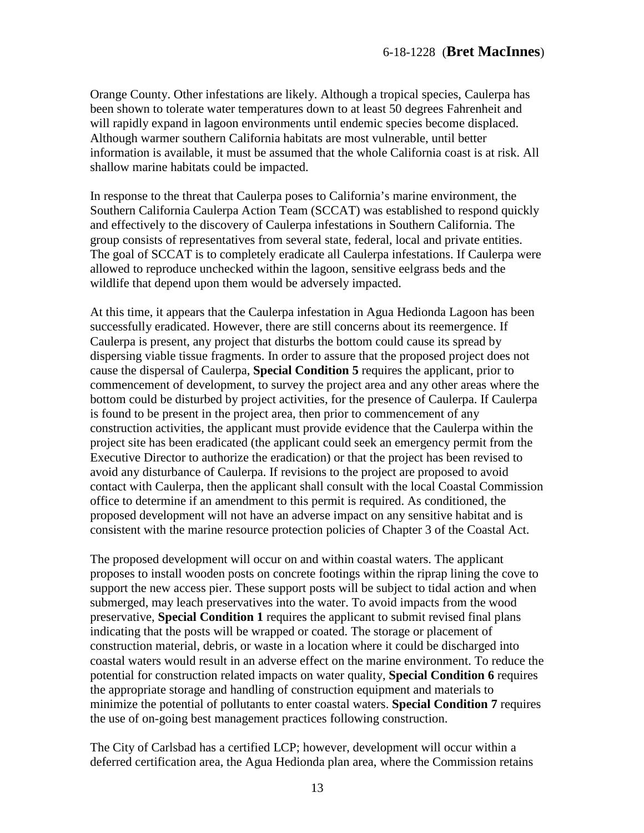Orange County. Other infestations are likely. Although a tropical species, Caulerpa has been shown to tolerate water temperatures down to at least 50 degrees Fahrenheit and will rapidly expand in lagoon environments until endemic species become displaced. Although warmer southern California habitats are most vulnerable, until better information is available, it must be assumed that the whole California coast is at risk. All shallow marine habitats could be impacted.

In response to the threat that Caulerpa poses to California's marine environment, the Southern California Caulerpa Action Team (SCCAT) was established to respond quickly and effectively to the discovery of Caulerpa infestations in Southern California. The group consists of representatives from several state, federal, local and private entities. The goal of SCCAT is to completely eradicate all Caulerpa infestations. If Caulerpa were allowed to reproduce unchecked within the lagoon, sensitive eelgrass beds and the wildlife that depend upon them would be adversely impacted.

At this time, it appears that the Caulerpa infestation in Agua Hedionda Lagoon has been successfully eradicated. However, there are still concerns about its reemergence. If Caulerpa is present, any project that disturbs the bottom could cause its spread by dispersing viable tissue fragments. In order to assure that the proposed project does not cause the dispersal of Caulerpa, **Special Condition 5** requires the applicant, prior to commencement of development, to survey the project area and any other areas where the bottom could be disturbed by project activities, for the presence of Caulerpa. If Caulerpa is found to be present in the project area, then prior to commencement of any construction activities, the applicant must provide evidence that the Caulerpa within the project site has been eradicated (the applicant could seek an emergency permit from the Executive Director to authorize the eradication) or that the project has been revised to avoid any disturbance of Caulerpa. If revisions to the project are proposed to avoid contact with Caulerpa, then the applicant shall consult with the local Coastal Commission office to determine if an amendment to this permit is required. As conditioned, the proposed development will not have an adverse impact on any sensitive habitat and is consistent with the marine resource protection policies of Chapter 3 of the Coastal Act.

The proposed development will occur on and within coastal waters. The applicant proposes to install wooden posts on concrete footings within the riprap lining the cove to support the new access pier. These support posts will be subject to tidal action and when submerged, may leach preservatives into the water. To avoid impacts from the wood preservative, **Special Condition 1** requires the applicant to submit revised final plans indicating that the posts will be wrapped or coated. The storage or placement of construction material, debris, or waste in a location where it could be discharged into coastal waters would result in an adverse effect on the marine environment. To reduce the potential for construction related impacts on water quality, **Special Condition 6** requires the appropriate storage and handling of construction equipment and materials to minimize the potential of pollutants to enter coastal waters. **Special Condition 7** requires the use of on-going best management practices following construction.

The City of Carlsbad has a certified LCP; however, development will occur within a deferred certification area, the Agua Hedionda plan area, where the Commission retains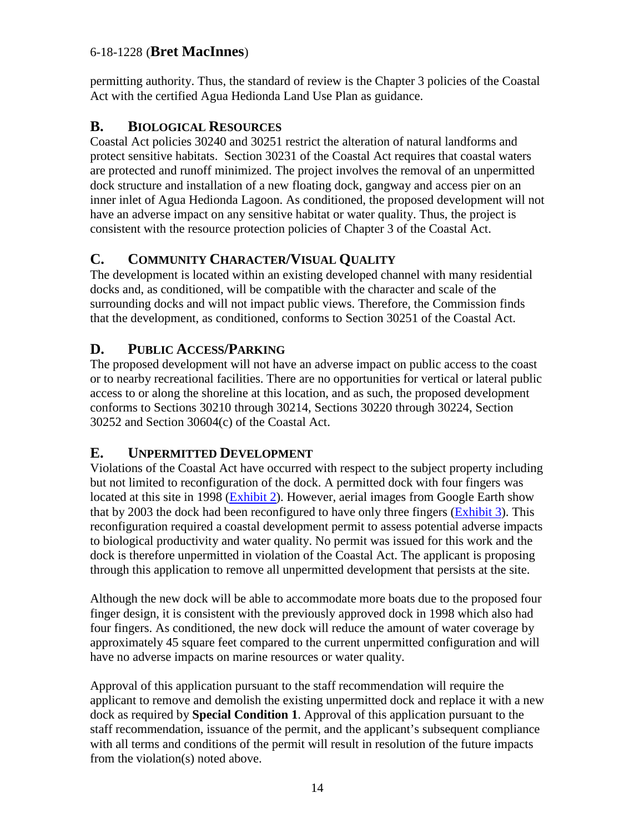permitting authority. Thus, the standard of review is the Chapter 3 policies of the Coastal Act with the certified Agua Hedionda Land Use Plan as guidance.

# <span id="page-13-0"></span>**B. BIOLOGICAL RESOURCES**

Coastal Act policies 30240 and 30251 restrict the alteration of natural landforms and protect sensitive habitats. Section 30231 of the Coastal Act requires that coastal waters are protected and runoff minimized. The project involves the removal of an unpermitted dock structure and installation of a new floating dock, gangway and access pier on an inner inlet of Agua Hedionda Lagoon. As conditioned, the proposed development will not have an adverse impact on any sensitive habitat or water quality. Thus, the project is consistent with the resource protection policies of Chapter 3 of the Coastal Act.

# <span id="page-13-1"></span>**C. COMMUNITY CHARACTER/VISUAL QUALITY**

The development is located within an existing developed channel with many residential docks and, as conditioned, will be compatible with the character and scale of the surrounding docks and will not impact public views. Therefore, the Commission finds that the development, as conditioned, conforms to Section 30251 of the Coastal Act.

# <span id="page-13-2"></span>**D. PUBLIC ACCESS/PARKING**

The proposed development will not have an adverse impact on public access to the coast or to nearby recreational facilities. There are no opportunities for vertical or lateral public access to or along the shoreline at this location, and as such, the proposed development conforms to Sections 30210 through 30214, Sections 30220 through 30224, Section 30252 and Section 30604(c) of the Coastal Act.

#### <span id="page-13-3"></span>**E. UNPERMITTED DEVELOPMENT**

Violations of the Coastal Act have occurred with respect to the subject property including but not limited to reconfiguration of the dock. A permitted dock with four fingers was located at this site in 1998 [\(Exhibit 2\)](https://documents.coastal.ca.gov/reports/2020/2/f6a/f6a-2-2020-exhibits.pdf). However, aerial images from Google Earth show that by 2003 the dock had been reconfigured to have only three fingers [\(Exhibit 3\)](https://documents.coastal.ca.gov/reports/2020/2/f6a/f6a-2-2020-exhibits.pdf). This reconfiguration required a coastal development permit to assess potential adverse impacts to biological productivity and water quality. No permit was issued for this work and the dock is therefore unpermitted in violation of the Coastal Act. The applicant is proposing through this application to remove all unpermitted development that persists at the site.

Although the new dock will be able to accommodate more boats due to the proposed four finger design, it is consistent with the previously approved dock in 1998 which also had four fingers. As conditioned, the new dock will reduce the amount of water coverage by approximately 45 square feet compared to the current unpermitted configuration and will have no adverse impacts on marine resources or water quality.

Approval of this application pursuant to the staff recommendation will require the applicant to remove and demolish the existing unpermitted dock and replace it with a new dock as required by **Special Condition 1**. Approval of this application pursuant to the staff recommendation, issuance of the permit, and the applicant's subsequent compliance with all terms and conditions of the permit will result in resolution of the future impacts from the violation(s) noted above.